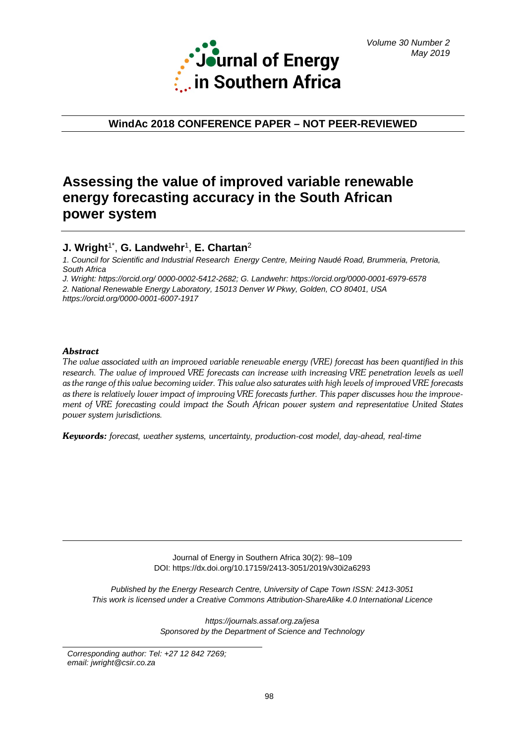

**WindAc 2018 CONFERENCE PAPER – NOT PEER-REVIEWED**

# **Assessing the value of improved variable renewable energy forecasting accuracy in the South African power system**

## **J. Wright**1\* , **G. Landwehr**1, **E. Chartan**<sup>2</sup>

*1. Council for Scientific and Industrial Research Energy Centre, Meiring Naudé Road, Brummeria, Pretoria, South Africa*

*J. Wright: https://orcid.org/ 0000-0002-5412-2682; G. Landwehr:<https://orcid.org/0000-0001-6979-6578>*

*2. National Renewable Energy Laboratory, 15013 Denver W Pkwy, Golden, CO 80401, USA*

*<https://orcid.org/0000-0001-6007-1917>*

### *Abstract*

*The value associated with an improved variable renewable energy (VRE) forecast has been quantified in this research. The value of improved VRE forecasts can increase with increasing VRE penetration levels as well as the range of this value becoming wider. This value also saturates with high levels of improved VRE forecasts as there is relatively lower impact of improving VRE forecasts further. This paper discusses how the improvement of VRE forecasting could impact the South African power system and representative United States power system jurisdictions.*

*Keywords: forecast, weather systems, uncertainty, production-cost model, day-ahead, real-time*

Journal of Energy in Southern Africa 30(2): 98–109 DOI: https://dx.doi.org/10.17159/2413-3051/2019/v30i2a6293

*Published by the Energy Research Centre, University of Cape Town ISSN: 2413-3051 This work is licensed under a Creative Commons Attribution-ShareAlike 4.0 International Licence*

> *https://journals.assaf.org.za/jesa Sponsored by the Department of Science and Technology*

*Corresponding author: Tel: +27 12 842 7269; email: jwright@csir.co.za*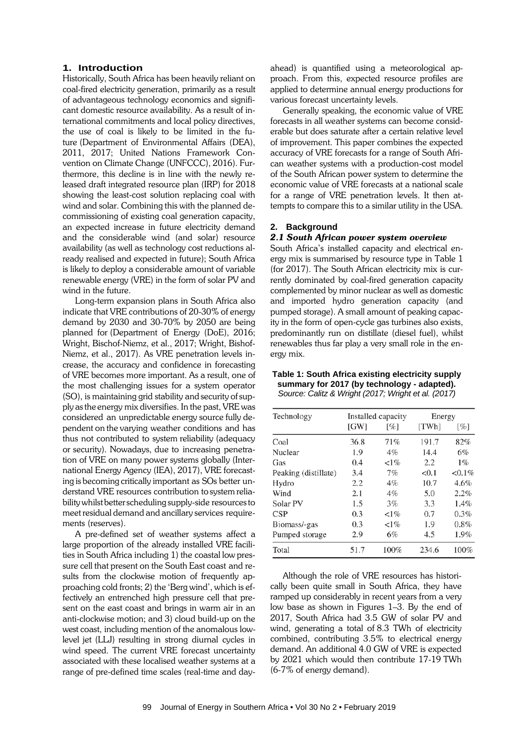### **1. Introduction**

Historically, South Africa has been heavily reliant on coal-fired electricity generation, primarily as a result of advantageous technology economics and significant domestic resource availability. As a result of international commitments and local policy directives, the use of coal is likely to be limited in the future (Department of Environmental Affairs (DEA), 2011, 2017; United Nations Framework Convention on Climate Change (UNFCCC), 2016). Furthermore, this decline is in line with the newly released draft integrated resource plan (IRP) for 2018 showing the least-cost solution replacing coal with wind and solar. Combining this with the planned decommissioning of existing coal generation capacity, an expected increase in future electricity demand and the considerable wind (and solar) resource availability (as well as technology cost reductions already realised and expected in future); South Africa is likely to deploy a considerable amount of variable renewable energy (VRE) in the form of solar PV and wind in the future.

Long-term expansion plans in South Africa also indicate that VRE contributions of 20-30% of energy demand by 2030 and 30-70% by 2050 are being planned for (Department of Energy (DoE), 2016; Wright, Bischof-Niemz, et al., 2017; Wright, Bishof-Niemz, et al., 2017). As VRE penetration levels increase, the accuracy and confidence in forecasting of VRE becomes more important. As a result, one of the most challenging issues for a system operator (SO), is maintaining grid stability and security of supply asthe energy mix diversifies. In the past, VRE was considered an unpredictable energy source fully dependent on the varying weather conditions and has thus not contributed to system reliability (adequacy or security). Nowadays, due to increasing penetration of VRE on many power systems globally (International Energy Agency (IEA), 2017), VRE forecasting is becoming critically important as SOs better understand VRE resources contribution to system reliability whilst better scheduling supply-side resources to meet residual demand and ancillary services requirements (reserves).

A pre-defined set of weather systems affect a large proportion of the already installed VRE facilities in South Africa including 1) the coastal low pressure cell that present on the South East coast and results from the clockwise motion of frequently approaching cold fronts; 2) the 'Berg wind', which is effectively an entrenched high pressure cell that present on the east coast and brings in warm air in an anti-clockwise motion; and 3) cloud build-up on the west coast, including mention of the anomalous lowlevel jet (LLJ) resulting in strong diurnal cycles in wind speed. The current VRE forecast uncertainty associated with these localised weather systems at a range of pre-defined time scales (real-time and dayahead) is quantified using a meteorological approach. From this, expected resource profiles are applied to determine annual energy productions for various forecast uncertainty levels.

Generally speaking, the economic value of VRE forecasts in all weather systems can become considerable but does saturate after a certain relative level of improvement. This paper combines the expected accuracy of VRE forecasts for a range of South African weather systems with a production-cost model of the South African power system to determine the economic value of VRE forecasts at a national scale for a range of VRE penetration levels. It then attempts to compare this to a similar utility in the USA.

### **2. Background**

### *2.1 South African power system overview*

South Africa's installed capacity and electrical energy mix is summarised by resource type in Table 1 (for 2017). The South African electricity mix is currently dominated by coal-fired generation capacity complemented by minor nuclear as well as domestic and imported hydro generation capacity (and pumped storage). A small amount of peaking capacity in the form of open-cycle gas turbines also exists, predominantly run on distillate (diesel fuel), whilst renewables thus far play a very small role in the energy mix.

### **Table 1: South Africa existing electricity supply summary for 2017 (by technology - adapted).** *Source: Calitz & Wright (2017; Wright et al. (2017)*

| Technology           |      | Installed capacity | Energy |           |  |
|----------------------|------|--------------------|--------|-----------|--|
|                      | [GW] | [%]                | [TWh]  | [%]       |  |
| Coal                 | 36.8 | 71%                | 191.7  | 82%       |  |
| Nuclear              | 1.9  | 4%                 | 14.4   | 6%        |  |
| Gas                  | 0.4  | $1\%$              | 2.2    | $1\%$     |  |
| Peaking (distillate) | 3.4  | 7%                 | < 0.1  | $< 0.1\%$ |  |
| Hydro                | 2.2  | 4%                 | 10.7   | 4.6%      |  |
| Wind                 | 2.1  | 4%                 | 5.0    | 2.2%      |  |
| Solar PV             | 1.5  | 3%                 | 3.3    | 1.4%      |  |
| <b>CSP</b>           | 0.3  | $1\%$              | 0.7    | 0.3%      |  |
| Biomass/-gas         | 0.3  | $1\%$              | 1.9    | 0.8%      |  |
| Pumped storage       | 2.9  | 6%                 | 4.5    | 1.9%      |  |
| Total                | 51.7 | 100%               | 234.6  | 100%      |  |

Although the role of VRE resources has historically been quite small in South Africa, they have ramped up considerably in recent years from a very low base as shown in Figures 1–3. By the end of 2017, South Africa had 3.5 GW of solar PV and wind, generating a total of 8.3 TWh of electricity combined, contributing 3.5% to electrical energy demand. An additional 4.0 GW of VRE is expected by 2021 which would then contribute 17-19 TWh (6-7% of energy demand).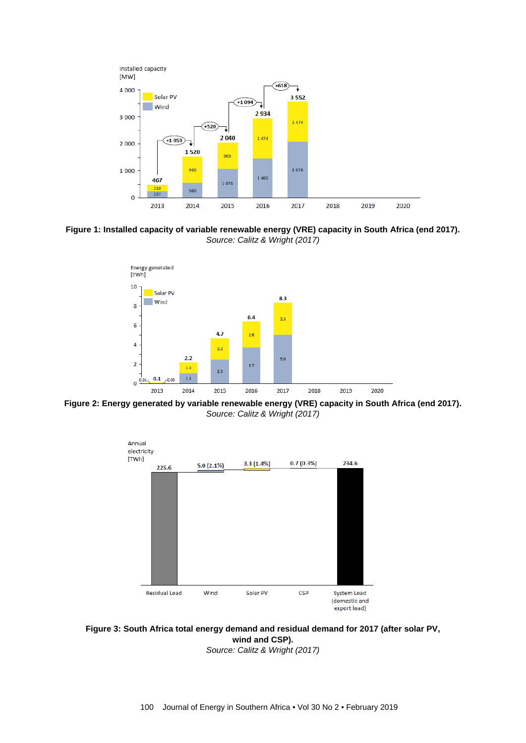

**Figure 1: Installed capacity of variable renewable energy (VRE) capacity in South Africa (end 2017).** *Source: Calitz & Wright (2017)*



**Figure 2: Energy generated by variable renewable energy (VRE) capacity in South Africa (end 2017).** *Source: Calitz & Wright (2017)*



**Figure 3: South Africa total energy demand and residual demand for 2017 (after solar PV, wind and CSP).**

*Source: Calitz & Wright (2017)*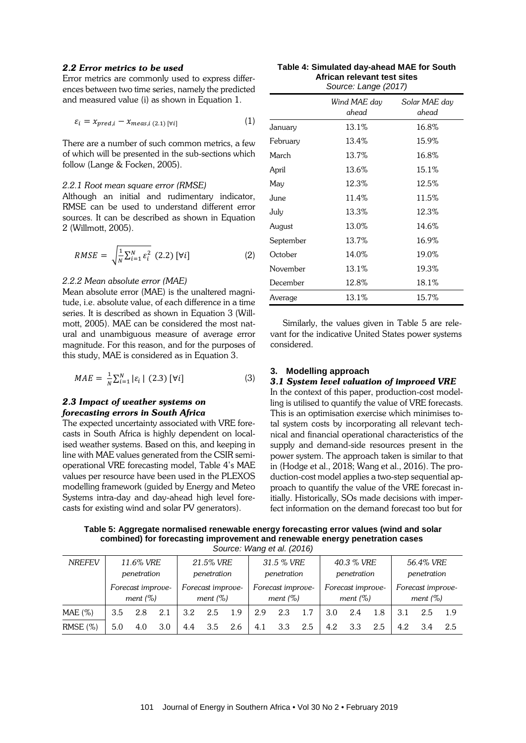### *2.2 Error metrics to be used*

Error metrics are commonly used to express differences between two time series, namely the predicted and measured value (i) as shown in Equation 1.

$$
\varepsilon_i = x_{pred,i} - x_{meas,i (2.1) [\forall i]} \tag{1}
$$

There are a number of such common metrics, a few of which will be presented in the sub-sections which follow (Lange & Focken, 2005).

### *2.2.1 Root mean square error (RMSE)*

Although an initial and rudimentary indicator, RMSE can be used to understand different error sources. It can be described as shown in Equation 2 (Willmott, 2005).

$$
RMSE = \sqrt{\frac{1}{N} \sum_{i=1}^{N} \varepsilon_i^2} (2.2) [\forall i]
$$
 (2)

### *2.2.2 Mean absolute error (MAE)*

Mean absolute error (MAE) is the unaltered magnitude, i.e. absolute value, of each difference in a time series. It is described as shown in Equation 3 (Willmott, 2005). MAE can be considered the most natural and unambiguous measure of average error magnitude. For this reason, and for the purposes of this study, MAE is considered as in Equation 3.

$$
MAE = \frac{1}{N} \sum_{i=1}^{N} |\varepsilon_{i}| (2.3) [\forall i]
$$
 (3)

### *2.3 Impact of weather systems on forecasting errors in South Africa*

The expected uncertainty associated with VRE forecasts in South Africa is highly dependent on localised weather systems. Based on this, and keeping in line with MAE values generated from the CSIR semioperational VRE forecasting model, Table 4's MAE values per resource have been used in the PLEXOS modelling framework (guided by Energy and Meteo Systems intra-day and day-ahead high level forecasts for existing wind and solar PV generators).

| Table 4: Simulated day-ahead MAE for South |  |
|--------------------------------------------|--|
| African relevant test sites                |  |
| Source: Lange (2017)                       |  |

|           | Wind MAE dav<br>ahead | Solar MAE day<br>ahead |
|-----------|-----------------------|------------------------|
| January   | 13.1%                 | 16.8%                  |
| February  | 13.4%                 | 15.9%                  |
| March     | 13.7%                 | 16.8%                  |
| April     | 13.6%                 | 15.1%                  |
| May       | 12.3%                 | 12.5%                  |
| June      | 11.4%                 | 11.5%                  |
| July      | 13.3%                 | 12.3%                  |
| August    | 13.0%                 | 14.6%                  |
| September | 13.7%                 | 16.9%                  |
| October   | 14.0%                 | 19.0%                  |
| November  | 13.1%                 | 19.3%                  |
| December  | 12.8%                 | 18.1%                  |
| Average   | 13.1%                 | 15.7%                  |

Similarly, the values given in Table 5 are relevant for the indicative United States power systems considered.

### **3. Modelling approach**

### *3.1 System level valuation of improved VRE*

In the context of this paper, production-cost modelling is utilised to quantify the value of VRE forecasts. This is an optimisation exercise which minimises total system costs by incorporating all relevant technical and financial operational characteristics of the supply and demand-side resources present in the power system. The approach taken is similar to that in (Hodge et al., 2018; Wang et al., 2016). The production-cost model applies a two-step sequential approach to quantify the value of the VRE forecast initially. Historically, SOs made decisions with imperfect information on the demand forecast too but for

**Table 5: Aggregate normalised renewable energy forecasting error values (wind and solar combined) for forecasting improvement and renewable energy penetration cases** *Source: Wang et al. (2016)*

| <b>NREFEV</b> |     | 11.6% VRE<br>penetration         |     | 21.5% VRE<br>penetration |                                  | 31.5 % VRE<br>penetration |     |                                  | 40.3 % VRE<br>penetration |     |                                  | 56.4% VRE<br>penetration |     |                                  |       |
|---------------|-----|----------------------------------|-----|--------------------------|----------------------------------|---------------------------|-----|----------------------------------|---------------------------|-----|----------------------------------|--------------------------|-----|----------------------------------|-------|
|               |     | Forecast improve-<br>ment $(\%)$ |     |                          | Forecast improve-<br>ment $(\%)$ |                           |     | Forecast improve-<br>ment $(\%)$ |                           |     | Forecast improve-<br>ment $(\%)$ |                          |     | Forecast improve-<br>ment $(\%)$ |       |
| $MAE$ (%)     | 3.5 | 2.8                              | 2.1 | 3.2                      | 2.5                              | 1.9                       | 2.9 | 2.3                              | 1.7                       | 3.0 | 2.4                              | 1.8                      | 3.1 | 2.5                              | - 1.9 |
| RMSE(%)       | 5.0 | 4.0                              | 3.0 | 4.4                      | 3.5                              | 2.6                       | 4.1 | 3.3                              | 2.5                       | 4.2 | 3.3                              | 2.5                      | 4.2 | 3.4                              | 2.5   |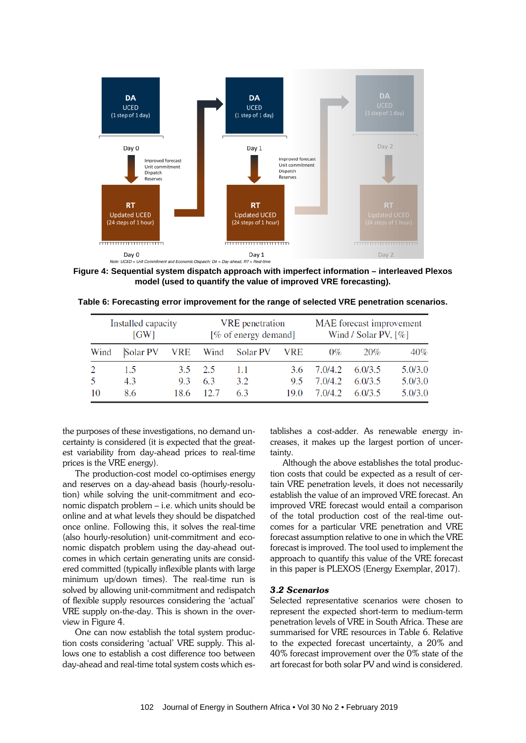

**Figure 4: Sequential system dispatch approach with imperfect information – interleaved Plexos model (used to quantify the value of improved VRE forecasting).**

| Table 6: Forecasting error improvement for the range of selected VRE penetration scenarios. |  |  |  |  |
|---------------------------------------------------------------------------------------------|--|--|--|--|
|---------------------------------------------------------------------------------------------|--|--|--|--|

|      | Installed capacity<br>MAE forecast improvement<br><b>VRE</b> penetration<br>[% of energy demand]<br>Wind / Solar PV, $[\%]$<br>GW |      |      |          |            |         |         |         |
|------|-----------------------------------------------------------------------------------------------------------------------------------|------|------|----------|------------|---------|---------|---------|
| Wind | Solar PV                                                                                                                          | VRE  | Wind | Solar PV | <b>VRE</b> | $0\%$   | 20%     | $40\%$  |
|      | 15                                                                                                                                | 35   | 2.5  | 1.1      | 3.6        | 7.0/4.2 | 6.0/3.5 | 5.0/3.0 |
|      | 4.3                                                                                                                               | 93   | 6.3  | 3.2      | 95         | 7.0/4.2 | 6.0/3.5 | 5.0/3.0 |
| 10   | 8.6                                                                                                                               | 18.6 |      | 63       | 19.0       | 7.0/4.2 | 6.0/3.5 | 5.0/3.0 |

the purposes of these investigations, no demand uncertainty is considered (it is expected that the greatest variability from day-ahead prices to real-time prices is the VRE energy).

The production-cost model co-optimises energy and reserves on a day-ahead basis (hourly-resolution) while solving the unit-commitment and economic dispatch problem – i.e. which units should be online and at what levels they should be dispatched once online. Following this, it solves the real-time (also hourly-resolution) unit-commitment and economic dispatch problem using the day-ahead outcomes in which certain generating units are considered committed (typically inflexible plants with large minimum up/down times). The real-time run is solved by allowing unit-commitment and redispatch of flexible supply resources considering the 'actual' VRE supply on-the-day. This is shown in the overview in Figure 4.

One can now establish the total system production costs considering 'actual' VRE supply. This allows one to establish a cost difference too between day-ahead and real-time total system costs which establishes a cost-adder. As renewable energy increases, it makes up the largest portion of uncertainty.

Although the above establishes the total production costs that could be expected as a result of certain VRE penetration levels, it does not necessarily establish the value of an improved VRE forecast. An improved VRE forecast would entail a comparison of the total production cost of the real-time outcomes for a particular VRE penetration and VRE forecast assumption relative to one in which the VRE forecast is improved. The tool used to implement the approach to quantify this value of the VRE forecast in this paper is PLEXOS (Energy Exemplar, 2017).

### *3.2 Scenarios*

Selected representative scenarios were chosen to represent the expected short-term to medium-term penetration levels of VRE in South Africa. These are summarised for VRE resources in Table 6. Relative to the expected forecast uncertainty, a 20% and 40% forecast improvement over the 0% state of the art forecast for both solar PV and wind is considered.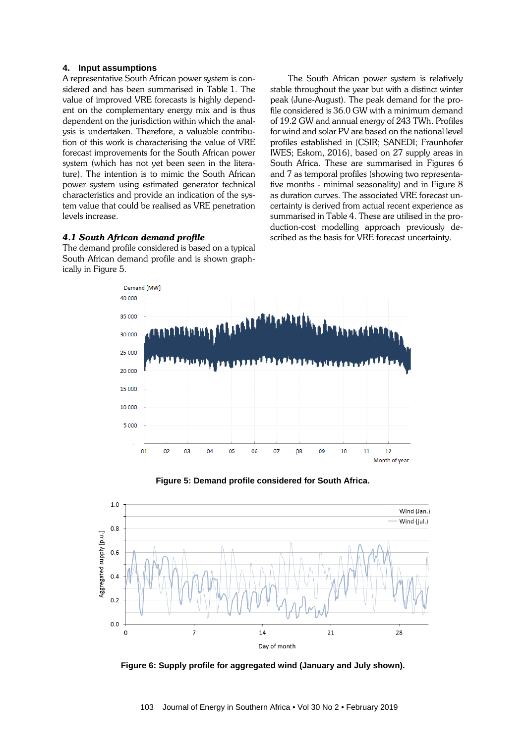### **4. Input assumptions**

A representative South African power system is considered and has been summarised in Table 1. The value of improved VRE forecasts is highly dependent on the complementary energy mix and is thus dependent on the jurisdiction within which the analysis is undertaken. Therefore, a valuable contribution of this work is characterising the value of VRE forecast improvements for the South African power system (which has not yet been seen in the literature). The intention is to mimic the South African power system using estimated generator technical characteristics and provide an indication of the system value that could be realised as VRE penetration levels increase.

### *4.1 South African demand profile*

The demand profile considered is based on a typical South African demand profile and is shown graphically in Figure 5.

The South African power system is relatively stable throughout the year but with a distinct winter peak (June-August). The peak demand for the profile considered is 36.0 GW with a minimum demand of 19.2 GW and annual energy of 243 TWh. Profiles for wind and solar PV are based on the national level profiles established in (CSIR; SANEDI; Fraunhofer IWES; Eskom, 2016), based on 27 supply areas in South Africa. These are summarised in Figures 6 and 7 as temporal profiles (showing two representative months - minimal seasonality) and in Figure 8 as duration curves. The associated VRE forecast uncertainty is derived from actual recent experience as summarised in Table 4. These are utilised in the production-cost modelling approach previously described as the basis for VRE forecast uncertainty.



**Figure 5: Demand profile considered for South Africa.**



**Figure 6: Supply profile for aggregated wind (January and July shown).**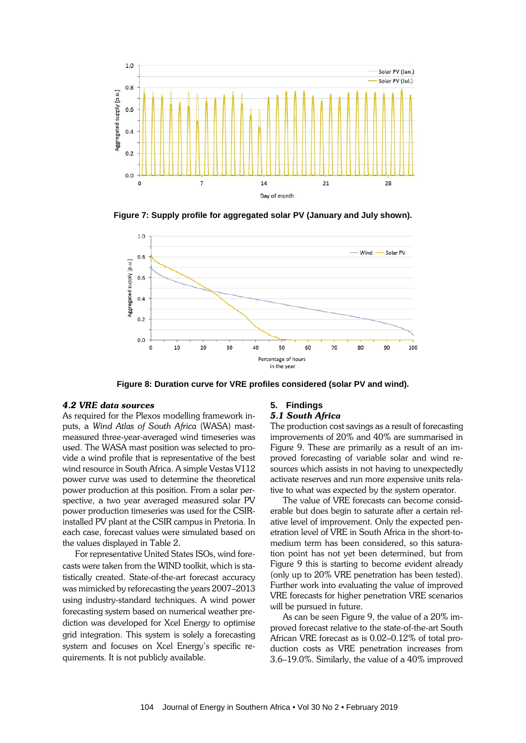

**Figure 7: Supply profile for aggregated solar PV (January and July shown).**



**Figure 8: Duration curve for VRE profiles considered (solar PV and wind).**

### *4.2 VRE data sources*

As required for the Plexos modelling framework inputs, a *Wind Atlas of South Africa* (WASA) mastmeasured three-year-averaged wind timeseries was used. The WASA mast position was selected to provide a wind profile that is representative of the best wind resource in South Africa. A simple Vestas V112 power curve was used to determine the theoretical power production at this position. From a solar perspective, a two year averaged measured solar PV power production timeseries was used for the CSIRinstalled PV plant at the CSIR campus in Pretoria. In each case, forecast values were simulated based on the values displayed in Table 2.

For representative United States ISOs, wind forecasts were taken from the WIND toolkit, which is statistically created. State-of-the-art forecast accuracy was mimicked by reforecasting the years 2007–2013 using industry-standard techniques. A wind power forecasting system based on numerical weather prediction was developed for Xcel Energy to optimise grid integration. This system is solely a forecasting system and focuses on Xcel Energy's specific requirements. It is not publicly available.

### **5. Findings**

### *5.1 South Africa*

The production cost savings as a result of forecasting improvements of 20% and 40% are summarised in Figure 9. These are primarily as a result of an improved forecasting of variable solar and wind resources which assists in not having to unexpectedly activate reserves and run more expensive units relative to what was expected by the system operator.

The value of VRE forecasts can become considerable but does begin to saturate after a certain relative level of improvement. Only the expected penetration level of VRE in South Africa in the short-tomedium term has been considered, so this saturation point has not yet been determined, but from Figure 9 this is starting to become evident already (only up to 20% VRE penetration has been tested). Further work into evaluating the value of improved VRE forecasts for higher penetration VRE scenarios will be pursued in future.

As can be seen Figure 9, the value of a 20% improved forecast relative to the state-of-the-art South African VRE forecast as is 0.02–0.12% of total production costs as VRE penetration increases from 3.6–19.0%. Similarly, the value of a 40% improved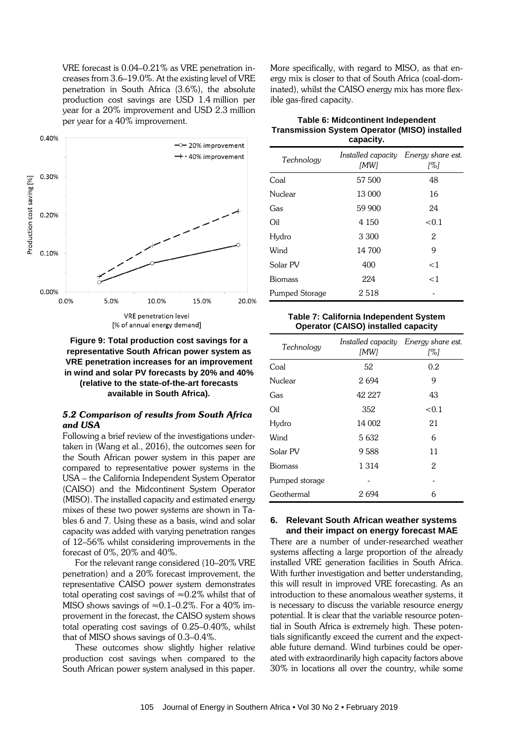VRE forecast is 0.04–0.21% as VRE penetration increases from 3.6–19.0%. At the existing level of VRE penetration in South Africa (3.6%), the absolute production cost savings are USD 1.4 million per year for a 20% improvement and USD 2.3 million per year for a 40% improvement.



**Figure 9: Total production cost savings for a representative South African power system as VRE penetration increases for an improvement in wind and solar PV forecasts by 20% and 40% (relative to the state-of-the-art forecasts available in South Africa).**

### *5.2 Comparison of results from South Africa and USA*

Following a brief review of the investigations undertaken in (Wang et al., 2016), the outcomes seen for the South African power system in this paper are compared to representative power systems in the USA – the California Independent System Operator (CAISO) and the Midcontinent System Operator (MISO). The installed capacity and estimated energy mixes of these two power systems are shown in Tables 6 and 7. Using these as a basis, wind and solar capacity was added with varying penetration ranges of 12–56% whilst considering improvements in the forecast of 0%, 20% and 40%.

For the relevant range considered (10–20% VRE penetration) and a 20% forecast improvement, the representative CAISO power system demonstrates total operating cost savings of  $\approx 0.2\%$  whilst that of MISO shows savings of  $\approx 0.1 - 0.2\%$ . For a 40% improvement in the forecast, the CAISO system shows total operating cost savings of 0.25–0.40%, whilst that of MISO shows savings of 0.3–0.4%.

These outcomes show slightly higher relative production cost savings when compared to the South African power system analysed in this paper.

More specifically, with regard to MISO, as that energy mix is closer to that of South Africa (coal-dominated), whilst the CAISO energy mix has more flexible gas-fired capacity.

### **Table 6: Midcontinent Independent Transmission System Operator (MISO) installed capacity.**

| Technology     | [MW]    | Installed capacity Energy share est.<br>[%] |
|----------------|---------|---------------------------------------------|
| Coal           | 57 500  | 48                                          |
| Nuclear        | 13 000  | 16                                          |
| Gas            | 59 900  | 24                                          |
| Oil            | 4 1 5 0 | < 0.1                                       |
| Hydro          | 3 300   | 2                                           |
| Wind           | 14 700  | 9                                           |
| Solar PV       | 400     | $<$ 1                                       |
| <b>Biomass</b> | 224     | $<$ 1                                       |
| Pumped Storage | 2518    |                                             |

### **Table 7: California Independent System Operator (CAISO) installed capacity**

| Technology     | [MW]    | Installed capacity Energy share est.<br>[%] |
|----------------|---------|---------------------------------------------|
| Coal           | 52      | 0.2                                         |
| Nuclear        | 2694    | 9                                           |
| Gas            | 42 227  | 43                                          |
| Oil            | 352     | < 0.1                                       |
| Hydro          | 14 002  | 21                                          |
| Wind           | 5632    | 6                                           |
| Solar PV       | 9588    | 11                                          |
| <b>Biomass</b> | 1 3 1 4 | 2                                           |
| Pumped storage |         |                                             |
| Geothermal     | 2 694   | 6                                           |

### **6. Relevant South African weather systems and their impact on energy forecast MAE**

There are a number of under-researched weather systems affecting a large proportion of the already installed VRE generation facilities in South Africa. With further investigation and better understanding, this will result in improved VRE forecasting. As an introduction to these anomalous weather systems, it is necessary to discuss the variable resource energy potential. It is clear that the variable resource potential in South Africa is extremely high. These potentials significantly exceed the current and the expectable future demand. Wind turbines could be operated with extraordinarily high capacity factors above 30% in locations all over the country, while some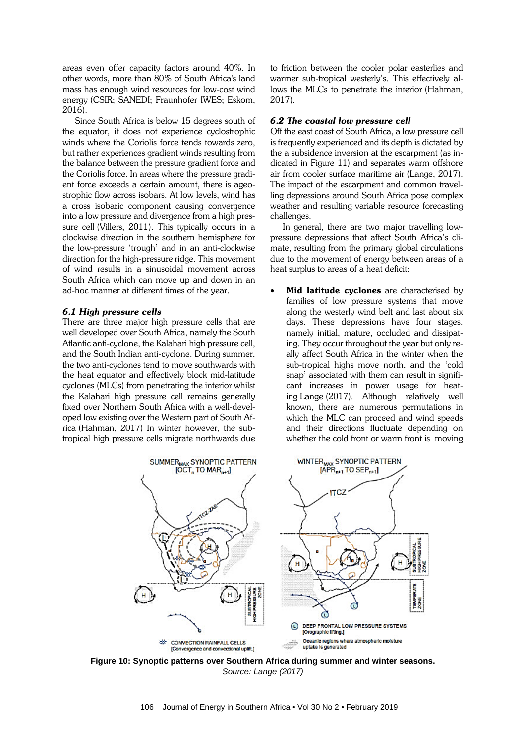areas even offer capacity factors around 40%. In other words, more than 80% of South Africa's land mass has enough wind resources for low-cost wind energy (CSIR; SANEDI; Fraunhofer IWES; Eskom, 2016).

Since South Africa is below 15 degrees south of the equator, it does not experience cyclostrophic winds where the Coriolis force tends towards zero, but rather experiences gradient winds resulting from the balance between the pressure gradient force and the Coriolis force. In areas where the pressure gradient force exceeds a certain amount, there is ageostrophic flow across isobars. At low levels, wind has a cross isobaric component causing convergence into a low pressure and divergence from a high pressure cell (Villers, 2011). This typically occurs in a clockwise direction in the southern hemisphere for the low-pressure 'trough' and in an anti-clockwise direction for the high-pressure ridge. This movement of wind results in a sinusoidal movement across South Africa which can move up and down in an ad-hoc manner at different times of the year.

### *6.1 High pressure cells*

There are three major high pressure cells that are well developed over South Africa, namely the South Atlantic anti-cyclone, the Kalahari high pressure cell, and the South Indian anti-cyclone. During summer, the two anti-cyclones tend to move southwards with the heat equator and effectively block mid-latitude cyclones (MLCs) from penetrating the interior whilst the Kalahari high pressure cell remains generally fixed over Northern South Africa with a well-developed low existing over the Western part of South Africa (Hahman, 2017) In winter however, the subtropical high pressure cells migrate northwards due to friction between the cooler polar easterlies and warmer sub-tropical westerly's. This effectively allows the MLCs to penetrate the interior (Hahman, 2017).

### *6.2 The coastal low pressure cell*

Off the east coast of South Africa, a low pressure cell is frequently experienced and its depth is dictated by the a subsidence inversion at the escarpment (as indicated in Figure 11) and separates warm offshore air from cooler surface maritime air (Lange, 2017). The impact of the escarpment and common travelling depressions around South Africa pose complex weather and resulting variable resource forecasting challenges.

In general, there are two major travelling lowpressure depressions that affect South Africa's climate, resulting from the primary global circulations due to the movement of energy between areas of a heat surplus to areas of a heat deficit:

• Mid latitude cyclones are characterised by families of low pressure systems that move along the westerly wind belt and last about six days. These depressions have four stages. namely initial, mature, occluded and dissipating. They occur throughout the year but only really affect South Africa in the winter when the sub-tropical highs move north, and the 'cold snap' associated with them can result in significant increases in power usage for heating Lange (2017). Although relatively well known, there are numerous permutations in which the MLC can proceed and wind speeds and their directions fluctuate depending on whether the cold front or warm front is moving



**Figure 10: Synoptic patterns over Southern Africa during summer and winter seasons.** *Source: Lange (2017)*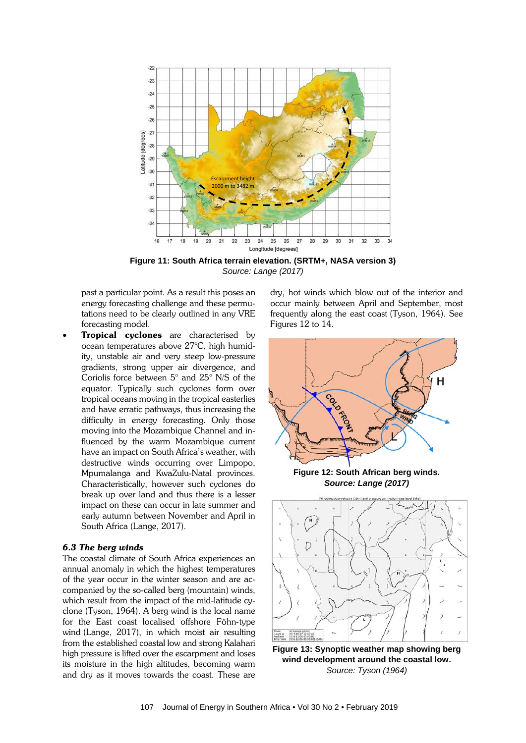

**Figure 11: South Africa terrain elevation. (SRTM+, NASA version 3)**  *Source: Lange (2017)*

past a particular point. As a result this poses an energy forecasting challenge and these permutations need to be clearly outlined in any VRE forecasting model.

Tropical cyclones are characterised by ocean temperatures above 27°C, high humidity, unstable air and very steep low-pressure gradients, strong upper air divergence, and Coriolis force between 5° and 25° N/S of the equator. Typically such cyclones form over tropical oceans moving in the tropical easterlies and have erratic pathways, thus increasing the difficulty in energy forecasting. Only those moving into the Mozambique Channel and influenced by the warm Mozambique current have an impact on South Africa's weather, with destructive winds occurring over Limpopo, Mpumalanga and KwaZulu-Natal provinces. Characteristically, however such cyclones do break up over land and thus there is a lesser impact on these can occur in late summer and early autumn between November and April in South Africa (Lange, 2017).

### *6.3 The berg winds*

The coastal climate of South Africa experiences an annual anomaly in which the highest temperatures of the year occur in the winter season and are accompanied by the so-called berg (mountain) winds, which result from the impact of the mid-latitude cyclone (Tyson, 1964). A berg wind is the local name for the East coast localised offshore Föhn-type wind (Lange, 2017), in which moist air resulting from the established coastal low and strong Kalahari high pressure is lifted over the escarpment and loses its moisture in the high altitudes, becoming warm and dry as it moves towards the coast. These are

dry, hot winds which blow out of the interior and occur mainly between April and September, most frequently along the east coast (Tyson, 1964). See Figures 12 to 14.



**Figure 12: South African berg winds.** *Source: Lange (2017)*



**Figure 13: Synoptic weather map showing berg wind development around the coastal low.** *Source: Tyson (1964)*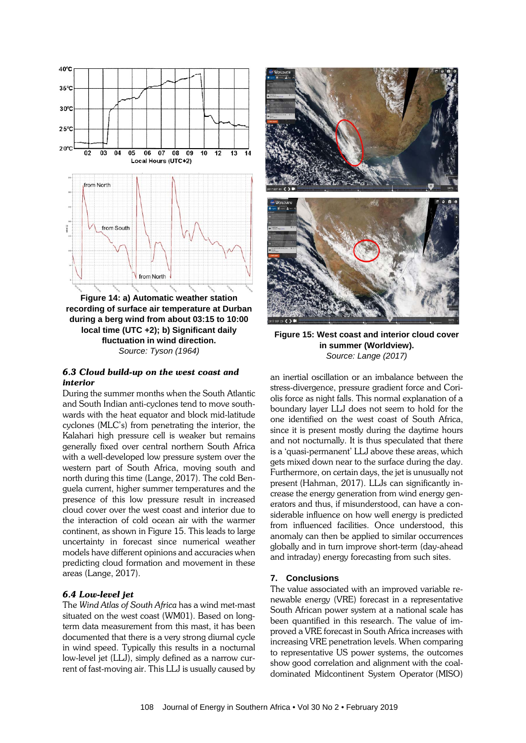

**recording of surface air temperature at Durban during a berg wind from about 03:15 to 10:00 local time (UTC +2); b) Significant daily fluctuation in wind direction.** *Source: Tyson (1964)*

### *6.3 Cloud build-up on the west coast and interior*

During the summer months when the South Atlantic and South Indian anti-cyclones tend to move southwards with the heat equator and block mid-latitude cyclones (MLC's) from penetrating the interior, the Kalahari high pressure cell is weaker but remains generally fixed over central northern South Africa with a well-developed low pressure system over the western part of South Africa, moving south and north during this time (Lange, 2017). The cold Benguela current, higher summer temperatures and the presence of this low pressure result in increased cloud cover over the west coast and interior due to the interaction of cold ocean air with the warmer continent, as shown in Figure 15. This leads to large uncertainty in forecast since numerical weather models have different opinions and accuracies when predicting cloud formation and movement in these areas (Lange, 2017).

### *6.4 Low-level jet*

The *Wind Atlas of South Africa* has a wind met-mast situated on the west coast (WM01). Based on longterm data measurement from this mast, it has been documented that there is a very strong diurnal cycle in wind speed. Typically this results in a nocturnal low-level jet (LLJ), simply defined as a narrow current of fast-moving air. This LLJ is usually caused by



**Figure 15: West coast and interior cloud cover in summer (Worldview).** *Source: Lange (2017)*

an inertial oscillation or an imbalance between the stress-divergence, pressure gradient force and Coriolis force as night falls. This normal explanation of a boundary layer LLJ does not seem to hold for the one identified on the west coast of South Africa, since it is present mostly during the daytime hours and not nocturnally. It is thus speculated that there is a 'quasi-permanent' LLJ above these areas, which gets mixed down near to the surface during the day. Furthermore, on certain days, the jet is unusually not present (Hahman, 2017). LLJs can significantly increase the energy generation from wind energy generators and thus, if misunderstood, can have a considerable influence on how well energy is predicted from influenced facilities. Once understood, this anomaly can then be applied to similar occurrences globally and in turn improve short-term (day-ahead and intraday) energy forecasting from such sites.

### **7. Conclusions**

The value associated with an improved variable renewable energy (VRE) forecast in a representative South African power system at a national scale has been quantified in this research. The value of improved a VRE forecast in South Africa increases with increasing VRE penetration levels. When comparing to representative US power systems, the outcomes show good correlation and alignment with the coaldominated Midcontinent System Operator (MISO)